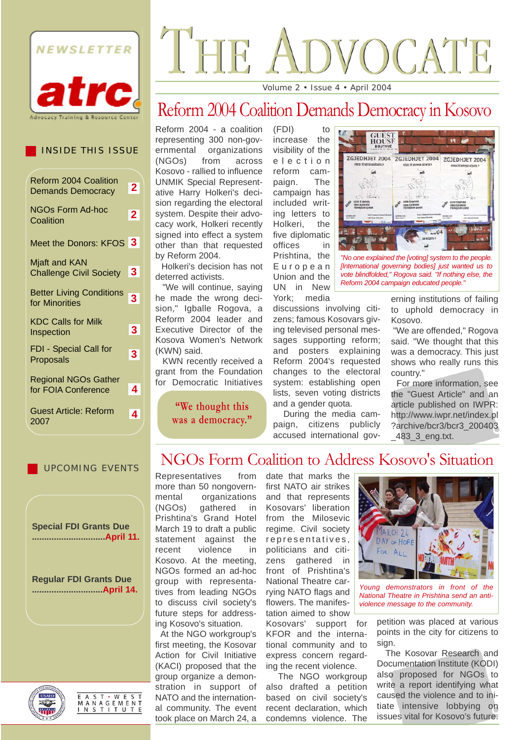

#### INSIDE THIS ISSUE

| <b>Reform 2004 Coalition</b><br><b>Demands Democracy</b> | $\mathbf{2}$ |
|----------------------------------------------------------|--------------|
|                                                          |              |
| <b>NGOs Form Ad-hoc</b><br>Coalition                     | $\mathbf{2}$ |
| Meet the Donors: KFOS 3                                  |              |
|                                                          |              |
| <b>Mjaft and KAN</b>                                     |              |
| <b>Challenge Civil Society</b>                           | <b>3</b>     |
|                                                          |              |
| <b>Better Living Conditions</b>                          | 3            |
| for Minorities                                           |              |
|                                                          |              |
| <b>KDC Calls for Milk</b>                                |              |
| Inspection                                               | $\mathbf{3}$ |
|                                                          |              |
| FDI - Special Call for                                   | 3            |
| Proposals                                                |              |
|                                                          |              |
| <b>Regional NGOs Gather</b>                              |              |
| for FOIA Conference                                      | 4            |
|                                                          |              |
|                                                          |              |
| Guest Article: Reform                                    | 4            |
| 2007                                                     |              |
|                                                          |              |

#### UPCOMING EVENTS

**Special FDI Grants Due ..............................April 11.**

**Regular FDI Grants Due .............................April 14.**



E A S T · W E S T<br>M A N A G E M E N T<br>I N S T I T U T E

# VOCATE  $^{\prime}$  FIE

Volume 2 • Issue 4 • April 2004

# Reform 2004 Coalition Demands Democracy in Kosovo

Reform 2004 - a coalition representing 300 non-governmental organizations (NGOs) from across Kosovo - rallied to influence UNMIK Special Representative Harry Holkeri's decision regarding the electoral system. Despite their advocacy work, Holkeri recently signed into effect a system other than that requested by Reform 2004.

Holkeri's decision has not deterred activists.

"We will continue, saying he made the wrong decision," Igballe Rogova, a Reform 2004 leader and Executive Director of the Kosova Women's Network (KWN) said.

KWN recently received a grant from the Foundation for Democratic Initiatives



(FDI) to increase the visibility of the election reform campaign. The campaign has included writing letters to Holkeri, the five diplomatic offices in Prishtina, the European Union and the UN in New York; media

discussions involving citizens; famous Kosovars giving televised personal messages supporting reform; and posters explaining Reform 2004's requested changes to the electoral system: establishing open lists, seven voting districts and a gender quota.

During the media campaign, citizens publicly accused international gov-



*"No one explained the [voting] system to the people. [International governing bodies] just wanted us to vote blindfolded," Rogova said. "If nothing else, the Reform 2004 campaign educated people."*

erning institutions of failing to uphold democracy in Kosovo.

"We are offended," Rogova said. "We thought that this was a democracy. This just shows who really runs this country."

For more information, see the "Guest Article" and an article published on IWPR: http://www.iwpr.net/index.pl ?archive/bcr3/bcr3\_200403 \_483\_3\_eng.txt.

## NGOs Form Coalition to Address Kosovo's Situation

Representatives from more than 50 nongovernmental organizations (NGOs) gathered in Prishtina's Grand Hotel March 19 to draft a public statement against the recent violence in Kosovo. At the meeting, NGOs formed an ad-hoc group with representatives from leading NGOs to discuss civil society's future steps for addressing Kosovo's situation.

At the NGO workgroup's first meeting, the Kosovar Action for Civil Initiative (KACI) proposed that the group organize a demonstration in support of NATO and the international community. The event took place on March 24, a

date that marks the first NATO air strikes and that represents Kosovars' liberation from the Milosevic regime. Civil society representatives, politicians and citizens gathered in front of Prishtina's National Theatre carrying NATO flags and flowers. The manifestation aimed to show

Kosovars' support for KFOR and the international community and to express concern regarding the recent violence.

The NGO workgroup also drafted a petition based on civil society's recent declaration, which condemns violence. The



*Young demonstrators in front of the National Theatre in Prishtina send an antiviolence message to the community.*

petition was placed at various points in the city for citizens to sign.

The Kosovar Research and Documentation Institute (KODI) also proposed for NGOs to write a report identifying what caused the violence and to initiate intensive lobbying on issues vital for Kosovo's future.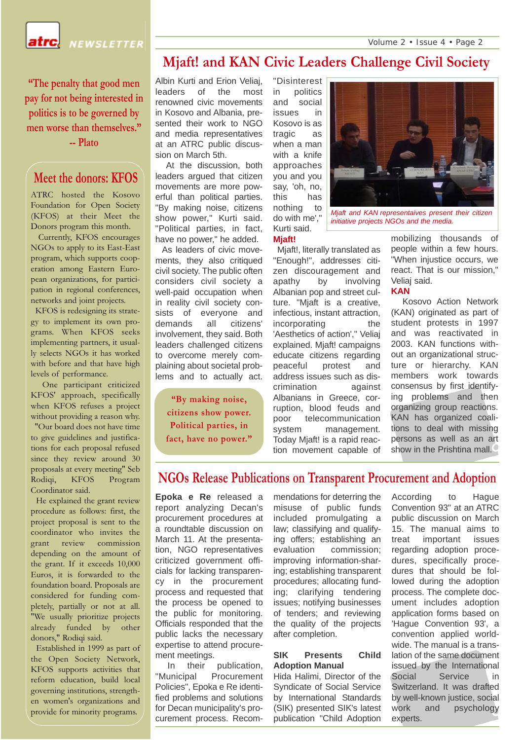Volume 2 • Issue 4 • Page 2



EWSLETTER

**"The penalty that good men pay for not being interested in politics is to be governed by men worse than themselves." -- Plato**

#### **Meet the donors: KFOS**

ATRC hosted the Kosovo Foundation for Open Society (KFOS) at their Meet the Donors program this month.

Currently, KFOS encourages NGOs to apply to its East-East program, which supports cooperation among Eastern European organizations, for participation in regional conferences, networks and joint projects.

KFOS is redesigning its strategy to implement its own programs. When KFOS seeks implementing partners, it usually selects NGOs it has worked with before and that have high levels of performance.

One participant criticized KFOS' approach, specifically when KFOS refuses a project without providing a reason why.

"Our board does not have time to give guidelines and justifications for each proposal refused since they review around 30 proposals at every meeting" Seb Rodiqi, KFOS Program Coordinator said.

He explained the grant review procedure as follows: first, the project proposal is sent to the coordinator who invites the grant review commission depending on the amount of the grant. If it exceeds 10,000 Euros, it is forwarded to the foundation board. Proposals are considered for funding completely, partially or not at all. "We usually prioritize projects already funded by other donors," Rodiqi said.

Established in 1999 as part of the Open Society Network, KFOS supports activities that reform education, build local governing institutions, strengthen women's organizations and provide for minority programs.

Albin Kurti and Erion Veliaj, leaders of the most renowned civic movements in Kosovo and Albania, presented their work to NGO and media representatives at an ATRC public discussion on March 5th.

At the discussion, both leaders argued that citizen movements are more powerful than political parties. "By making noise, citizens show power," Kurti said. "Political parties, in fact, have no power," he added.

As leaders of civic movements, they also critiqued civil society. The public often considers civil society a well-paid occupation when in reality civil society consists of everyone and demands all citizens' involvement, they said. Both leaders challenged citizens to overcome merely complaining about societal problems and to actually act.

**"By making noise, citizens show power. Political parties, in fact, have no power."**

"Disinterest in politics and social issues in Kosovo is as tragic as when a man with a knife approaches you and you say, 'oh, no, this has nothing to do with me'," Kurti said. **Mjaft!**

**Mjaft! and KAN Civic Leaders Challenge Civil Society** 



*Mjaft and KAN representaives present their citizen initiative projects NGOs and the media.*

Mjaft!, literally translated as "Enough!", addresses citizen discouragement and apathy by involving Albanian pop and street culture. "Mjaft is a creative, infectious, instant attraction, incorporating the 'Aesthetics of action'," Veliaj explained. Mjaft! campaigns educate citizens regarding peaceful protest and address issues such as discrimination against Albanians in Greece, corruption, blood feuds and poor telecommunication system management. Today Mjaft! is a rapid reaction movement capable of

mobilizing thousands of people within a few hours. "When injustice occurs, we react. That is our mission," Veliaj said.

#### **KAN**

Kosovo Action Network (KAN) originated as part of student protests in 1997 and was reactivated in 2003. KAN functions without an organizational structure or hierarchy. KAN members work towards consensus by first identifying problems and then organizing group reactions. KAN has organized coalitions to deal with missing persons as well as an art show in the Prishtina mall.

#### **NGOs Release Publications on Transparent Procurement and Adoption**

**Epoka e Re** released a report analyzing Decan's procurement procedures at a roundtable discussion on March 11. At the presentation, NGO representatives criticized government officials for lacking transparency in the procurement process and requested that the process be opened to the public for monitoring. Officials responded that the public lacks the necessary expertise to attend procurement meetings.

In their publication, "Municipal Procurement Policies", Epoka e Re identified problems and solutions for Decan municipality's procurement process. Recom-

mendations for deterring the misuse of public funds included promulgating a law; classifying and qualifying offers; establishing an evaluation commission; improving information-sharing; establishing transparent procedures; allocating funding; clarifying tendering issues; notifying businesses of tenders; and reviewing the quality of the projects after completion.

#### **SIK Presents Child Adoption Manual**

Hida Halimi, Director of the Syndicate of Social Service by International Standards (SIK) presented SIK's latest publication "Child Adoption

According to Hague Convention 93" at an ATRC public discussion on March 15. The manual aims to treat important issues regarding adoption procedures, specifically procedures that should be followed during the adoption process. The complete document includes adoption application forms based on 'Hague Convention 93', a convention applied worldwide. The manual is a translation of the same document issued by the International Social Service in Switzerland. It was drafted by well-known justice, social work and psychology experts.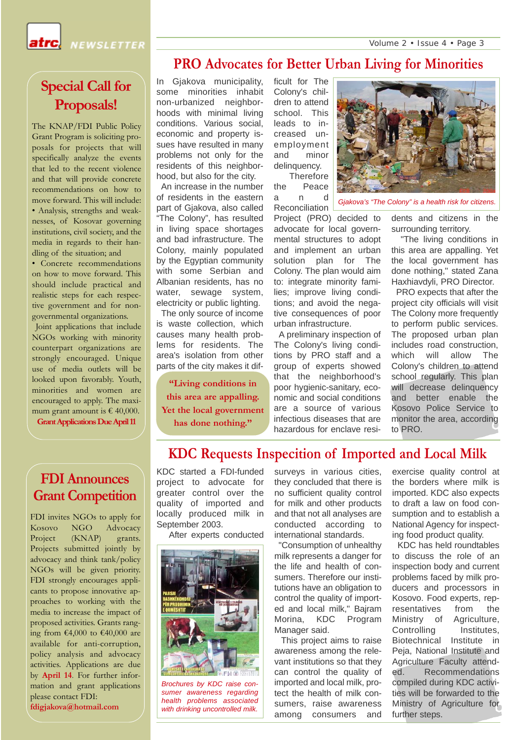Volume 2 • Issue 4 • Page 3

NEWSLETTER

#### **PRO Advocates for Better Urban Living for Minorities**

## **Special Call for Proposals!**

The KNAP/FDI Public Policy Grant Program is soliciting proposals for projects that will specifically analyze the events that led to the recent violence and that will provide concrete recommendations on how to move forward. This will include: • Analysis, strengths and weaknesses, of Kosovar governing institutions, civil society, and the media in regards to their handling of the situation; and

• Concrete recommendations on how to move forward. This should include practical and realistic steps for each respective government and for nongovernmental organizations.

Joint applications that include NGOs working with minority counterpart organizations are strongly encouraged. Unique use of media outlets will be looked upon favorably. Youth, minorities and women are encouraged to apply. The maximum grant amount is  $\epsilon$  40,000.

**Grant Applications Due April 11**

In Gjakova municipality, some minorities inhabit non-urbanized neighborhoods with minimal living conditions. Various social, economic and property issues have resulted in many problems not only for the residents of this neighborhood, but also for the city.

An increase in the number of residents in the eastern part of Gjakova, also called "The Colony", has resulted in living space shortages and bad infrastructure. The Colony, mainly populated by the Egyptian community with some Serbian and Albanian residents, has no water, sewage system, electricity or public lighting.

The only source of income is waste collection, which causes many health problems for residents. The area's isolation from other parts of the city makes it dif-

**"Living conditions in this area are appalling. Yet the local government has done nothing."**

ficult for The Colony's children to attend school. This leads to increased unemployment and minor delinquency.

**Therefore** the Peace and

Reconciliation Project (PRO) decided to advocate for local governmental structures to adopt and implement an urban solution plan for The Colony. The plan would aim to: integrate minority families; improve living conditions; and avoid the negative consequences of poor urban infrastructure.

A preliminary inspection of The Colony's living conditions by PRO staff and a group of experts showed that the neighborhood's poor hygienic-sanitary, economic and social conditions are a source of various infectious diseases that are hazardous for enclave resi-



*Gjakova's "The Colony" is a health risk for citizens.* 

dents and citizens in the surrounding territory.

"The living conditions in this area are appalling. Yet the local government has done nothing," stated Zana Haxhiavdyli, PRO Director.

PRO expects that after the project city officials will visit The Colony more frequently to perform public services. The proposed urban plan includes road construction, which will allow The Colony's children to attend school regularly. This plan will decrease delinquency and better enable the Kosovo Police Service to monitor the area, according to PRO.

# **KDC Requests Inspecition of Imported and Local Milk**

## **FDI Announces Grant Competition**

FDI invites NGOs to apply for Kosovo NGO Advocacy Project (KNAP) grants. Projects submitted jointly by advocacy and think tank/policy NGOs will be given priority. FDI strongly encourages applicants to propose innovative approaches to working with the media to increase the impact of proposed activities. Grants ranging from €4,000 to €40,000 are available for anti-corruption, policy analysis and advocacy activities. Applications are due by **April 14**. For further information and grant applications please contact FDI: **fdigjakova@hotmail.com**

KDC started a FDI-funded project to advocate for greater control over the quality of imported and locally produced milk in September 2003.

After experts conducted



*Brochures by KDC raise consumer awareness regarding health problems associated with drinking uncontrolled milk.*

surveys in various cities. they concluded that there is no sufficient quality control for milk and other products and that not all analyses are conducted according to international standards.

"Consumption of unhealthy milk represents a danger for the life and health of consumers. Therefore our institutions have an obligation to control the quality of imported and local milk," Bajram Morina, KDC Program Manager said.

This project aims to raise awareness among the relevant institutions so that they can control the quality of imported and local milk, protect the health of milk consumers, raise awareness among consumers and

exercise quality control at the borders where milk is imported. KDC also expects to draft a law on food consumption and to establish a National Agency for inspecting food product quality.

KDC has held roundtables to discuss the role of an inspection body and current problems faced by milk producers and processors in Kosovo. Food experts, representatives from the Ministry of Agriculture, Controlling Institutes, Biotechnical Institute in Peja, National Institute and Agriculture Faculty attended. Recommendations compiled during KDC activities will be forwarded to the Ministry of Agriculture for further steps.